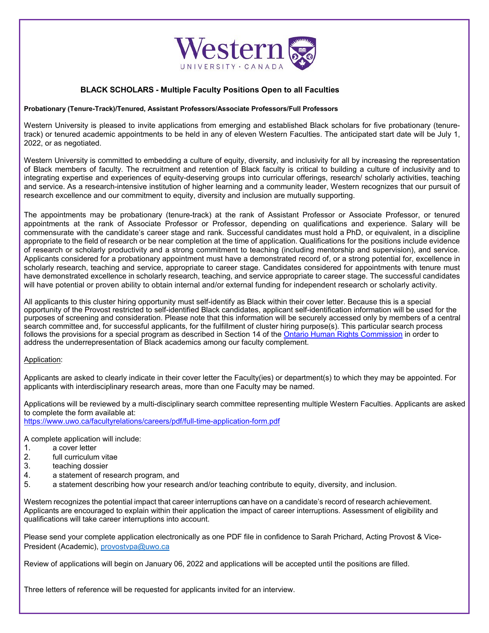

## **BLACK SCHOLARS - Multiple Faculty Positions Open to all Faculties**

## **Probationary (Tenure-Track)/Tenured, Assistant Professors/Associate Professors/Full Professors**

Western University is pleased to invite applications from emerging and established Black scholars for five probationary (tenuretrack) or tenured academic appointments to be held in any of eleven Western Faculties. The anticipated start date will be July 1, 2022, or as negotiated.

Western University is committed to embedding a culture of equity, diversity, and inclusivity for all by increasing the representation of Black members of faculty. The recruitment and retention of Black faculty is critical to building a culture of inclusivity and to integrating expertise and experiences of equity-deserving groups into curricular offerings, research/ scholarly activities, teaching and service. As a research-intensive institution of higher learning and a community leader, Western recognizes that our pursuit of research excellence and our commitment to equity, diversity and inclusion are mutually supporting.

The appointments may be probationary (tenure-track) at the rank of Assistant Professor or Associate Professor, or tenured appointments at the rank of Associate Professor or Professor, depending on qualifications and experience. Salary will be commensurate with the candidate's career stage and rank. Successful candidates must hold a PhD, or equivalent, in a discipline appropriate to the field of research or be near completion at the time of application. Qualifications for the positions include evidence of research or scholarly productivity and a strong commitment to teaching (including mentorship and supervision), and service. Applicants considered for a probationary appointment must have a demonstrated record of, or a strong potential for, excellence in scholarly research, teaching and service, appropriate to career stage. Candidates considered for appointments with tenure must have demonstrated excellence in scholarly research, teaching, and service appropriate to career stage. The successful candidates will have potential or proven ability to obtain internal and/or external funding for independent research or scholarly activity.

All applicants to this cluster hiring opportunity must self-identify as Black within their cover letter. Because this is a special opportunity of the Provost restricted to self-identified Black candidates, applicant self-identification information will be used for the purposes of screening and consideration. Please note that this information will be securely accessed only by members of a central search committee and, for successful applicants, for the fulfillment of cluster hiring purpose(s). This particular search process follows the provisions for a special program as described in Section 14 of the [Ontario Human Rights Commission](http://www.ohrc.on.ca/en/your-guide-special-programs-and-human-rights-code) in order to address the underrepresentation of Black academics among our faculty complement.

## Application:

Applicants are asked to clearly indicate in their cover letter the Faculty(ies) or department(s) to which they may be appointed. For applicants with interdisciplinary research areas, more than one Faculty may be named.

Applications will be reviewed by a multi-disciplinary search committee representing multiple Western Faculties. Applicants are asked to complete the form available at: <https://www.uwo.ca/facultyrelations/careers/pdf/full-time-application-form.pdf>

A complete application will include:

- 
- 1. a cover letter<br>2. full curriculum 2. full curriculum vitae<br>3. teaching dossier
- 3. teaching dossier<br>4. a statement of re
- 4. a statement of research program, and<br>5 a statement describing how your research
- a statement describing how your research and/or teaching contribute to equity, diversity, and inclusion.

Western recognizes the potential impact that career interruptions can have on a candidate's record of research achievement. Applicants are encouraged to explain within their application the impact of career interruptions. Assessment of eligibility and qualifications will take career interruptions into account.

Please send your complete application electronically as one PDF file in confidence to Sarah Prichard, Acting Provost & Vice-President (Academic), [provostvpa@uwo.ca](mailto:provostvpa@uwo.ca)

Review of applications will begin on January 06, 2022 and applications will be accepted until the positions are filled.

Three letters of reference will be requested for applicants invited for an interview.